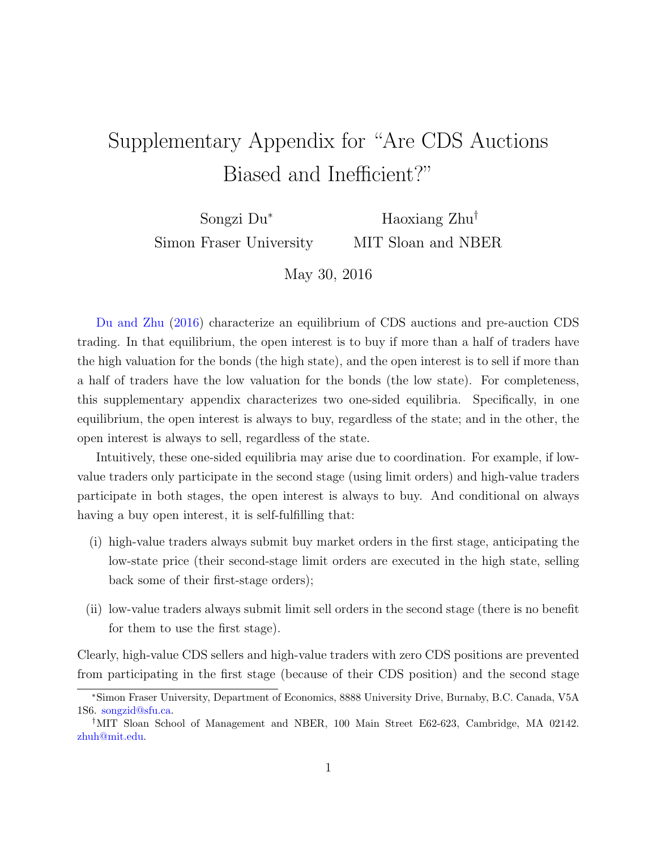## Supplementary Appendix for "Are CDS Auctions Biased and Inefficient?"

Songzi Du<sup>∗</sup> Simon Fraser University

Haoxiang Zhu† MIT Sloan and NBER

May 30, 2016

[Du and Zhu](#page-4-0) [\(2016\)](#page-4-0) characterize an equilibrium of CDS auctions and pre-auction CDS trading. In that equilibrium, the open interest is to buy if more than a half of traders have the high valuation for the bonds (the high state), and the open interest is to sell if more than a half of traders have the low valuation for the bonds (the low state). For completeness, this supplementary appendix characterizes two one-sided equilibria. Specifically, in one equilibrium, the open interest is always to buy, regardless of the state; and in the other, the open interest is always to sell, regardless of the state.

Intuitively, these one-sided equilibria may arise due to coordination. For example, if lowvalue traders only participate in the second stage (using limit orders) and high-value traders participate in both stages, the open interest is always to buy. And conditional on always having a buy open interest, it is self-fulfilling that:

- (i) high-value traders always submit buy market orders in the first stage, anticipating the low-state price (their second-stage limit orders are executed in the high state, selling back some of their first-stage orders);
- (ii) low-value traders always submit limit sell orders in the second stage (there is no benefit for them to use the first stage).

Clearly, high-value CDS sellers and high-value traders with zero CDS positions are prevented from participating in the first stage (because of their CDS position) and the second stage

<sup>∗</sup>Simon Fraser University, Department of Economics, 8888 University Drive, Burnaby, B.C. Canada, V5A 1S6. [songzid@sfu.ca.](mailto:songzid@sfu.ca)

<sup>†</sup>MIT Sloan School of Management and NBER, 100 Main Street E62-623, Cambridge, MA 02142. [zhuh@mit.edu.](mailto:zhuh@mit.edu)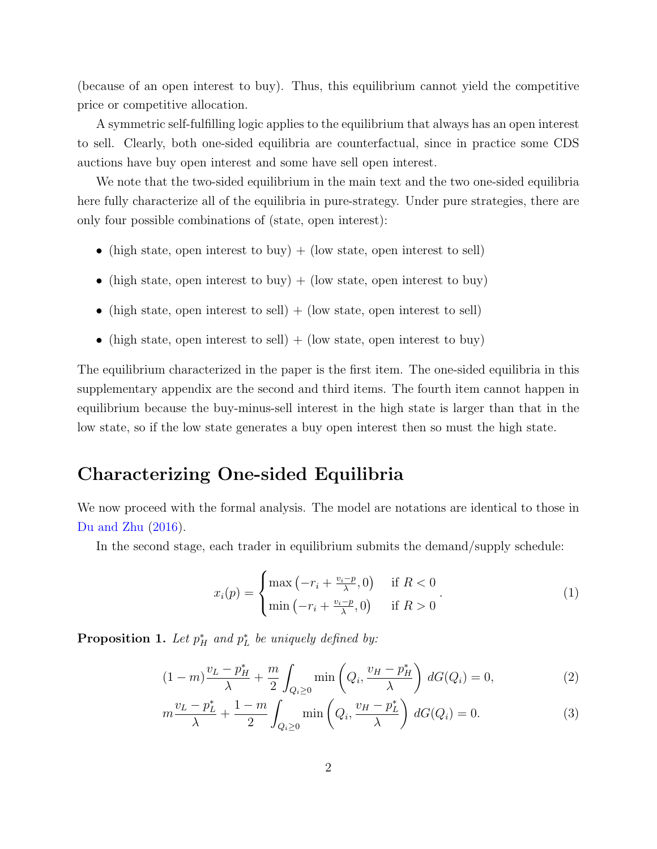(because of an open interest to buy). Thus, this equilibrium cannot yield the competitive price or competitive allocation.

A symmetric self-fulfilling logic applies to the equilibrium that always has an open interest to sell. Clearly, both one-sided equilibria are counterfactual, since in practice some CDS auctions have buy open interest and some have sell open interest.

We note that the two-sided equilibrium in the main text and the two one-sided equilibria here fully characterize all of the equilibria in pure-strategy. Under pure strategies, there are only four possible combinations of (state, open interest):

- (high state, open interest to buy) + (low state, open interest to sell)
- (high state, open interest to buy)  $+$  (low state, open interest to buy)
- (high state, open interest to sell)  $+$  (low state, open interest to sell)
- (high state, open interest to sell) + (low state, open interest to buy)

The equilibrium characterized in the paper is the first item. The one-sided equilibria in this supplementary appendix are the second and third items. The fourth item cannot happen in equilibrium because the buy-minus-sell interest in the high state is larger than that in the low state, so if the low state generates a buy open interest then so must the high state.

## Characterizing One-sided Equilibria

We now proceed with the formal analysis. The model are notations are identical to those in [Du and Zhu](#page-4-0) [\(2016\)](#page-4-0).

In the second stage, each trader in equilibrium submits the demand/supply schedule:

<span id="page-1-0"></span>
$$
x_i(p) = \begin{cases} \max\left(-r_i + \frac{v_i - p}{\lambda}, 0\right) & \text{if } R < 0\\ \min\left(-r_i + \frac{v_i - p}{\lambda}, 0\right) & \text{if } R > 0 \end{cases} \tag{1}
$$

<span id="page-1-1"></span>**Proposition 1.** Let  $p_H^*$  and  $p_L^*$  be uniquely defined by:

$$
(1 - m)\frac{v_L - p_H^*}{\lambda} + \frac{m}{2} \int_{Q_i \ge 0} \min\left(Q_i, \frac{v_H - p_H^*}{\lambda}\right) dG(Q_i) = 0,
$$
 (2)

$$
m\frac{v_L - p_L^*}{\lambda} + \frac{1 - m}{2} \int_{Q_i \ge 0} \min\left(Q_i, \frac{v_H - p_L^*}{\lambda}\right) dG(Q_i) = 0.
$$
 (3)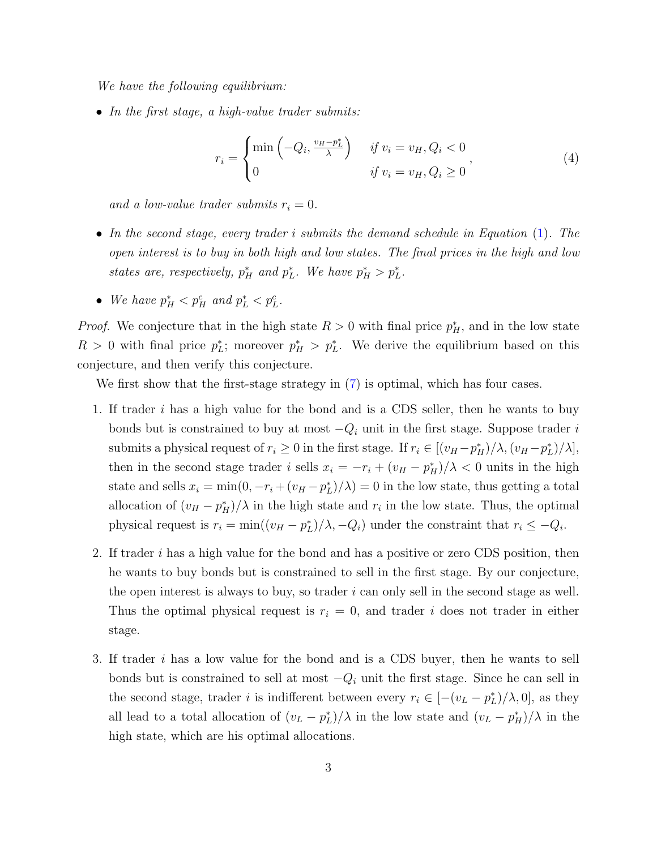We have the following equilibrium:

• In the first stage, a high-value trader submits:

$$
r_i = \begin{cases} \min\left(-Q_i, \frac{v_H - p_L^*}{\lambda}\right) & \text{if } v_i = v_H, Q_i < 0\\ 0 & \text{if } v_i = v_H, Q_i \ge 0 \end{cases},\tag{4}
$$

and a low-value trader submits  $r_i = 0$ .

- In the second stage, every trader i submits the demand schedule in Equation [\(1\)](#page-1-0). The open interest is to buy in both high and low states. The final prices in the high and low states are, respectively,  $p_H^*$  and  $p_L^*$ . We have  $p_H^* > p_L^*$ .
- We have  $p_H^* < p_H^c$  and  $p_L^* < p_L^c$ .

*Proof.* We conjecture that in the high state  $R > 0$  with final price  $p_H^*$ , and in the low state  $R > 0$  with final price  $p_L^*$ ; moreover  $p_H^* > p_L^*$ . We derive the equilibrium based on this conjecture, and then verify this conjecture.

We first show that the first-stage strategy in [\(7\)](#page-3-0) is optimal, which has four cases.

- 1. If trader i has a high value for the bond and is a CDS seller, then he wants to buy bonds but is constrained to buy at most  $-Q_i$  unit in the first stage. Suppose trader i submits a physical request of  $r_i \geq 0$  in the first stage. If  $r_i \in [(v_H - p_H^*)/\lambda, (v_H - p_L^*)/\lambda],$ then in the second stage trader i sells  $x_i = -r_i + (v_H - p_H^*)/\lambda < 0$  units in the high state and sells  $x_i = \min(0, -r_i + (v_H - p_L^*)/\lambda) = 0$  in the low state, thus getting a total allocation of  $(v_H - p_H^*)/\lambda$  in the high state and  $r_i$  in the low state. Thus, the optimal physical request is  $r_i = \min((v_H - p_L^*)/\lambda, -Q_i)$  under the constraint that  $r_i \leq -Q_i$ .
- 2. If trader  $i$  has a high value for the bond and has a positive or zero CDS position, then he wants to buy bonds but is constrained to sell in the first stage. By our conjecture, the open interest is always to buy, so trader  $i$  can only sell in the second stage as well. Thus the optimal physical request is  $r_i = 0$ , and trader i does not trader in either stage.
- 3. If trader i has a low value for the bond and is a CDS buyer, then he wants to sell bonds but is constrained to sell at most  $-Q_i$  unit the first stage. Since he can sell in the second stage, trader *i* is indifferent between every  $r_i \in [-(v_L - p_L^*)/\lambda, 0]$ , as they all lead to a total allocation of  $(v_L - p_L^*)/\lambda$  in the low state and  $(v_L - p_H^*)/\lambda$  in the high state, which are his optimal allocations.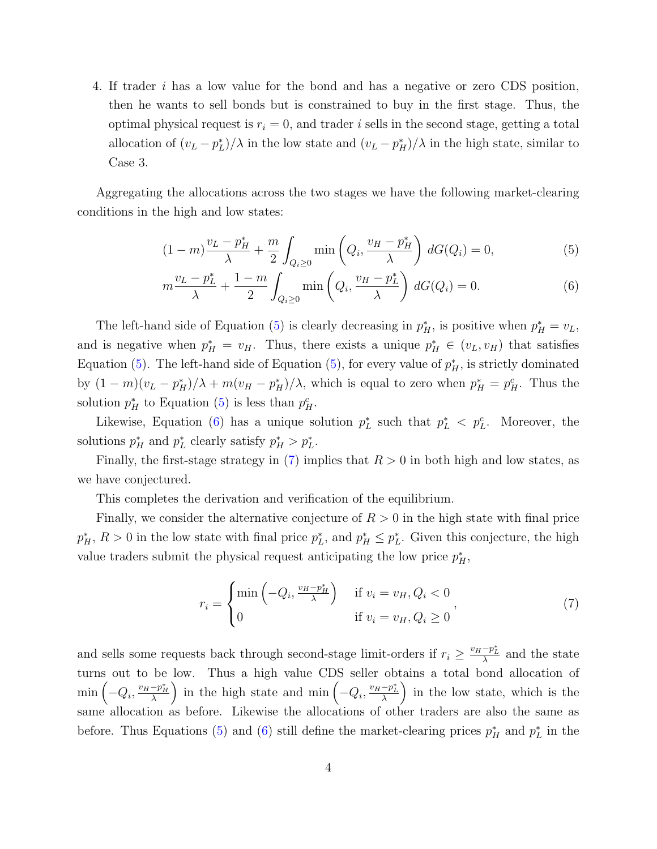4. If trader i has a low value for the bond and has a negative or zero CDS position, then he wants to sell bonds but is constrained to buy in the first stage. Thus, the optimal physical request is  $r_i = 0$ , and trader i sells in the second stage, getting a total allocation of  $(v_L - p_L^*)/\lambda$  in the low state and  $(v_L - p_H^*)/\lambda$  in the high state, similar to Case 3.

Aggregating the allocations across the two stages we have the following market-clearing conditions in the high and low states:

$$
(1 - m)\frac{v_L - p_H^*}{\lambda} + \frac{m}{2} \int_{Q_i \ge 0} \min\left(Q_i, \frac{v_H - p_H^*}{\lambda}\right) dG(Q_i) = 0,
$$
 (5)

<span id="page-3-2"></span><span id="page-3-1"></span>
$$
m\frac{v_L - p_L^*}{\lambda} + \frac{1 - m}{2} \int_{Q_i \ge 0} \min\left(Q_i, \frac{v_H - p_L^*}{\lambda}\right) dG(Q_i) = 0.
$$
 (6)

The left-hand side of Equation [\(5\)](#page-3-1) is clearly decreasing in  $p_H^*$ , is positive when  $p_H^* = v_L$ , and is negative when  $p_H^* = v_H$ . Thus, there exists a unique  $p_H^* \in (v_L, v_H)$  that satisfies Equation [\(5\)](#page-3-1). The left-hand side of Equation (5), for every value of  $p_H^*$ , is strictly dominated by  $(1 - m)(v_L - p_H^*)/\lambda + m(v_H - p_H^*)/\lambda$ , which is equal to zero when  $p_H^* = p_H^c$ . Thus the solution  $p_H^*$  to Equation [\(5\)](#page-3-1) is less than  $p_H^c$ .

Likewise, Equation [\(6\)](#page-3-2) has a unique solution  $p<sub>L</sub><sup>*</sup>$  such that  $p<sub>L</sub><sup>*</sup> < p<sub>L</sub><sup>c</sup>$ . Moreover, the solutions  $p_H^*$  and  $p_L^*$  clearly satisfy  $p_H^* > p_L^*$ .

Finally, the first-stage strategy in  $(7)$  implies that  $R > 0$  in both high and low states, as we have conjectured.

This completes the derivation and verification of the equilibrium.

Finally, we consider the alternative conjecture of  $R > 0$  in the high state with final price  $p_H^*, R > 0$  in the low state with final price  $p_L^*$ , and  $p_H^* \leq p_L^*$ . Given this conjecture, the high value traders submit the physical request anticipating the low price  $p_H^*$ ,

<span id="page-3-0"></span>
$$
r_i = \begin{cases} \min\left(-Q_i, \frac{v_H - p_H^*}{\lambda}\right) & \text{if } v_i = v_H, Q_i < 0\\ 0 & \text{if } v_i = v_H, Q_i \ge 0 \end{cases}
$$
\n
$$
\tag{7}
$$

and sells some requests back through second-stage limit-orders if  $r_i \geq \frac{v_H - p_L^*}{\lambda}$  and the state turns out to be low. Thus a high value CDS seller obtains a total bond allocation of  $\min\left(-Q_i,\frac{v_H-p_H^*}{\lambda}\right)$  in the high state and  $\min\left(-Q_i,\frac{v_H-p_L^*}{\lambda}\right)$  in the low state, which is the same allocation as before. Likewise the allocations of other traders are also the same as before. Thus Equations [\(5\)](#page-3-1) and [\(6\)](#page-3-2) still define the market-clearing prices  $p_H^*$  and  $p_L^*$  in the